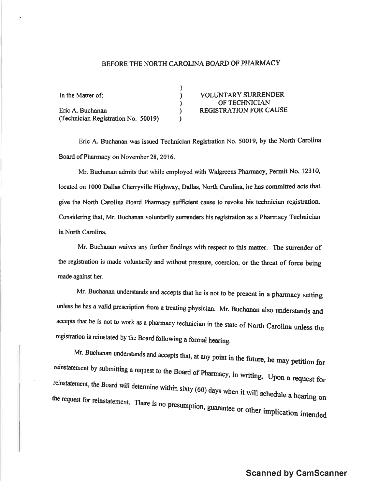## BEFORE THE NORTH CAROLINA BOARD OF PHARMACY

| In the Matter of:                   | <b>VOLUNTARY SURRENDER</b>    |
|-------------------------------------|-------------------------------|
|                                     | OF TECHNICIAN                 |
| Eric A. Buchanan                    | <b>REGISTRATION FOR CAUSE</b> |
| (Technician Registration No. 50019) |                               |

Eric A. Buchanan was issued Technician Registration No. 50019, by the North Carolina Board of Pharmacy on November 28, 2016.

Mr. Buchanan admits that while employed with Walgreens Pharmacy, Permit No. 12310, located on 1000 Dallas Cherryville Highway, Dallas, North Carolina, he has committed acts that give the North Carolina Board Pharmacy sufficient cause to revoke his technician registration. Considering that, Mr. Buchanan voluntarily surrenders his registration as a Pharmacy Technician in North Carolina.

Mr. Buchanan waives any further findings with respect to this matter. The surrender of the registration is made voluntarily and without pressure, coercion, or the threat of force being made against her.

Mr. Buchanan understands and accepts that he is not to be present in a pharmacy setting unless he has a valid prescription from a treating physician. Mr. Buchanan also understands and accepts that he is not to work as a pharmacy technician in the state of North Carolina unless the registration is reinstated by the Board following a formal hearing.

Mr. Buchanan understands and accepts that, at any point in the future, he may petition for reinstatement by submitting a request to the Board of Pharmacy, in writing. Upon a request for reinstatement, the Board will determine within sixty (60) days when it will schedule a hearing on the request for reinstatement. There is no presumption, guarantee or other implication intended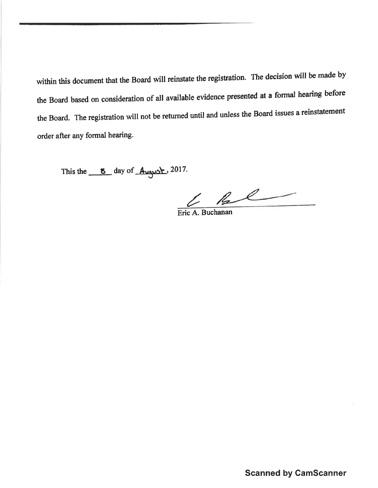within this document that the Board will reinstate the registration. The decision will be made by the Board based on consideration of all available evidence presented at a formal hearing before the Board. The registration will not be returned until and unless the Board issues a reinstatement order after any formal hearing.

This the  $\frac{8}{2017}$  day of  $\frac{4}{2017}$ .

 $\frac{L}{\text{Eric A. Buchanan}}$ 

**Scanned by CamScanner**